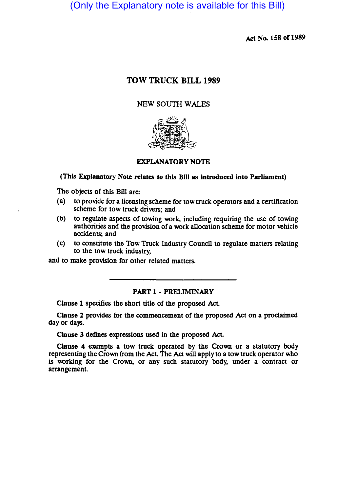(Only the Explanatory note is available for this Bill)

Act No. 158 of 1989

# TOW TRUCK BILL 1989

# NEW SOUTH WALES



## EXPLANATORY NOTE

# (This Explanatory Note relates to this Bill as introduced into Parliament)

The objects of this Bill are:

- ( a) to provide for a licensing scheme for tow truck operators and a certification scheme for tow truck drivers; and
- (b) to regulate aspects of towing work, including requiring the use of towing authorities and the provision of a work allocation scheme for motor vehicle accidents; and
- (c) to constitute the Tow Truck Industry Council to regulate matters relating to the tow truck industry,

and to make provision for other related matters.

# PART 1 - PRELIMINARY

Clause 1 specifies the short title of the proposed Act

Clause 2 provides for the commencement of the proposed Act on a proclaimed day or days.

Clause 3 defines expressions used in the proposed Act

Clause 4 exempts a tow truck operated by the Crown or a statutory body representing the Crown from the Act The Act will apply to a tow truck operator who is working for the Crown, or any such statutory body, under a contract or arrangement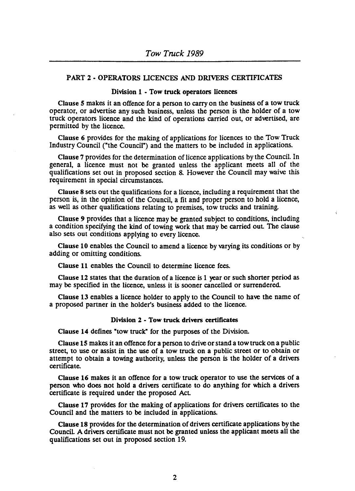#### PART 2 - OPERATORS LICENCES AND DRIVERS CERTIFICATES

#### Division 1 • Tow truck operators licences

Clause 5 makes it an offence for a person to carry on the business of a tow truck operator, or advertise any such business, unless the person is the holder of a tow truck operators licence and the kind of operations carried out, or advertised, are permitted by the licence.

Clause 6 provides for the making of applications for licences to the Tow Truck Industry Council ("the Council") and the matters to be included in applications.

Clause 7 provides for the determination of licence applications by the Council. In general, a licence must not be granted unless the applicant meets all of the qualifications set out in proposed section 8. However the Council may waive this requirement in special circumstances.

Clause 8 sets out the qualifications for a licence, including a requirement that the person is, in the opinion of the Council, a fit and proper person to hold a licence, as well as other qualifications relating to premises, tow trucks and training.

Clause 9 provides that a licence may be granted SUbject to conditions, including a condition specifying the kind of towing work that may be carried out. The clause also sets out conditions applying to every licence.

Clause 10 enables the Council to amend a licence by varying its conditions or by adding or omitting conditions.

Clause 11 enables the Council to determine licence fees.

Clause 12 states that the duration of a licence is 1 year or such shorter period as may be specified in the licence, unless it is sooner cancelled or surrendered.

Clause 13 enables a licence holder to apply to the Council to have the name of a proposed partner in the holder's business added to the licence.

#### Division 1 . Tow truck drivers certificates

Clause 14 defines "tow truck" for the purposes of the Division.

Clause 15 makes it an offence for a person to drive or stand a tow truck on a public street, to use or assist in the use of a tow truck on a public street or to obtain or attempt to obtain a towing authority, unless the person is the holder of a drivers certificate.

Clause 16 makes it an offence for a tow truck operator to use the services of a person who does not hold a drivers certificate to do anything for which a drivers certificate is required under the proposed AcL

Clause 17 provides for the making of applications for drivers certificates to the Council and the matters to be included in applications.

Clause 18 provides for the determination of drivers certificate applications by the Council A drivers certificate must not be granted unless the applicant meets all the qualifications set out in proposed section 19.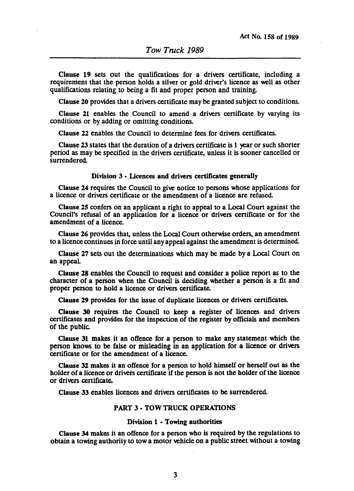Clause 19 sets out the qualifications for a drivers certificate, including a requirement that the person holds a silver or gold driver's licence as well as other qualifications relating to being a fit and proper person and training.

Clause 20 provides that a drivers certificate may be granted subject to conditions.

Clause 21 enables the Council to amend a drivers certificate by varying its conditions or by adding or omitting conditions.

Clause 22 enables the Council to determine fees for drivers certificates.

Clause 23 states that the duration of a drivers certificate is 1 year or such shorter period as may be specified in the drivers certificate, unless it is sooner cancelled or surrendered.

#### Division 3 - Licences and drivers certificates generally

Clause 24 requires the Council to give notice to persons whose applications for a licence or drivers certificate or the amendment of a licence are refused.

Clause 25 confers on an applicant a right to appeal to a Local Court against the Council'S refusal of an application for a licence or drivers certificate or for the amendment of a licence.

Clause 26 provides that, unless the Local Court otherwise orders, an amendment to a licence continues in force until any appeal against the amendment is determined.

Clause 27 sets out the determinations which may be made by a Local Court on an appeaL

Clause 28 enables the Council to request and consider a police report as to the character of a person when the Council is deciding whether a person is a fit and proper person to hold a licence or drivers certificate.

Clause 29 provides for the issue of duplicate licences or drivers certificates.

Clause 30 requires the Council to keep a register of licences and drivers certificates and provides for the inspection of the register by officials and members of the public.

Clause 31 makes it an offence for a person to make any statement which the person knows to be false or misleading in an application for a licence or drivers certificate or for the amendment of a licence.

Clause 32 makes it an offence for a person to hold himself or herself out as the holder of a licence or drivers certificate if the person is not the holder of the licence or drivers certificate.

Clause 33 enables licences and drivers certificates to be surrendered.

#### PART 3 • TOW TRUCK OPERATIONS

#### Division 1 • Towing authorities

Clause 34 makes it an offence for a person who is required by the regulations to obtain a towing authority to tow a motor vehicle on a public street without a towing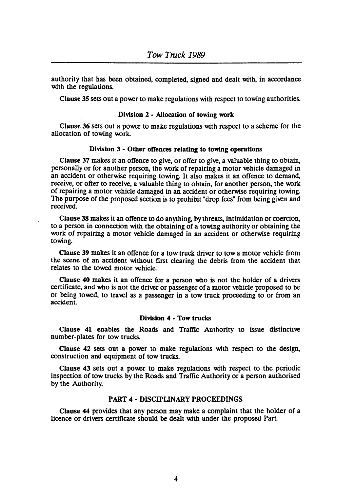authority that has been obtained, completed, signed and dealt with, in accordance with the regulations.

Clause 3S sets out a power to make regulations with respect to towing authorities.

### Division 2 • Allocation of towing work

Clause 36 sets out a power to make regulations with respect to a scheme for the allocation of towing work.

#### Division 3 • Other offences relating to towing operations

Clause 37 makes it an offence to give, or offer to give, a valuable thing to obtain, personally or for another person, the work of repairing a motor vehicle damaged in an accident or otherwise requiring towing. It also makes it an offence to demand, receive, or offer to receive, a valuable thing to obtain, for another person, the work of repairing a motor vehicle damaged in an accident or otherwise requiring towing. The purpose of the proposed section is to prohibit "drop fees" from being given and received.

Clause 38 makes it an offence to do anything, by threats, intimidation or coercion, to a person in connection with the obtaining of a towing authority or obtaining the work of repairing a motor vehicle damaged in an accident or otherwise requiring towing.

Clause 39 makes it an offence for a tow truck driver to tow a motor vehicle from the scene of an accident without first clearing the debris from the accident that relates to the towed motor vehicle.

Clause 40 makes it an offence for a person who is not the holder of a drivers cenificate, and who is not the driver or passenger of a motor vehicle proposed to be or being towed, to travel as a passenger in a tow truck proceeding to or from an accident

#### Division 4 • Tow trucks

Clause 41 enables the Roads and Traffic Authority to issue distinctive number-plates for tow trucks.

Clause 42 sets out a power to make regulations with respect to the design, construction and equipment of tow trucks.

Clause 43 sets out a power to make regulations with respect to the periodic inspection of tow trucks by the Roads and Traffic Authority or a person authorised by the Authority.

### PART 4 • DISCIPUNARY PROCEEDINGS

Clause 44 provides that any person may make a complaint that the holder of a licence or drivers certificate should be dealt with under the proposed Part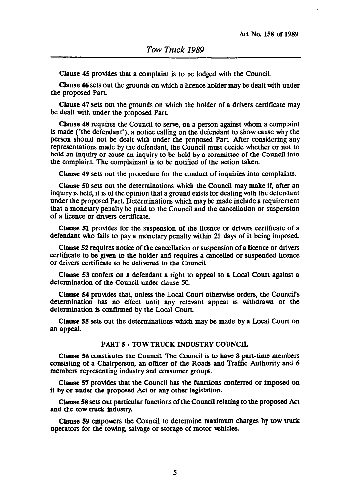Clause 45 provides that a complaint is to be lodged with the Council

Clause 46 sets out the grounds on which a licence holder may be dealt with under the proposed Part

Clause 47 sets out the grounds on which the holder of a drivers certificate may be dealt with under the proposed Part

Clause 48 requires the Council to serve, on a person against whom a complaint is made ("the defendant"), a notice calling on the defendant to show cause why the person should not be dealt with under the proposed Part After considering any representations made by the defendant, the Council must decide whether or not to hold an inquiry or cause an inquiry to be held by a committee of the Council into the complaint The complainant is to be notified of the action taken.

Clause 49 sets out the procedure for the conduct of inquiries into complaints.

Clause 50 sets out the determinations which the Council may make if, after an inquiry is held, it is of the opinion that a ground exists for dealing with the defendant under the proposed Part. Determinations which may be made include a requirement that a monetary penalty be paid to the Council and the cancellation or suspension of a licence or drivers certificate.

Clause 51 provides for the suspension of the licence or drivers certificate of a defendant who fails to pay a monetary penalty within 21 days of it being imposed.

Clause 52 requires notice of the cancellation or suspension of a licence or drivers certificate to be given to the holder and requires a cancelled or suspended licence or drivers certificate to be delivered to the Council

Clause 53 confers on a defendant a right to appeal to a Local Court against a determination of the Council under clause 50.

Clause 54 provides that, unless the Local Coun otherwise orders, the Council's determination has no effect until any relevant appeal is withdrawn or the determination is confirmed by the Local Court

Clause 55 sets out the determinations which may be made by a Local Coun on an appeal.

#### PART 5 • TOW TRUCK INDUSTRY COUNCIL

Clause 56 constitutes the Council The Council is to have 8 part-time members consisting of a Chairperson, an officer of the Roads and Traffic Authority and 6 members representing industry and consumer groups.

Clause 57 provides that the Council has the functions conferred or imposed on it by or under the proposed Act or any other legislation.

Clause 58 sets out panicular functions of the Council relating to the proposed Act and the tow truck industry.

Clause *S9* empowers the Council to determine maximum charges by tow truck operators for the towing, salvage or storage of motor vehicles.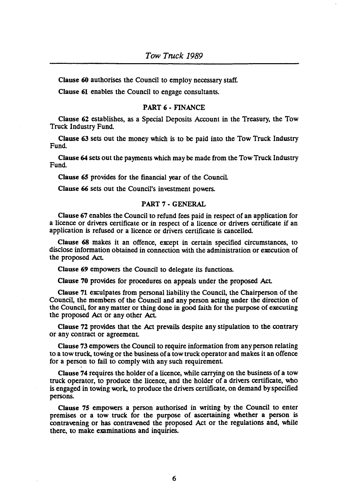Clause 60 authorises the Council to employ necessary staff.

Clause 61 enables the Council to engage consultants.

### PART 6· FINANCE

Clause 62 establishes, as a Special Deposits Account in the Treasury, the Tow Truck Industry Fund

Clause 63 sets out the money which is to be paid into the Tow Truck Industry Fund

Clause 64 sets out the payments which may be made from the Tow Truck Industry Fund

Clause 65 provides for the financial year of the Council

Clause 66 sets out the Council's investment powers.

### PART 7· GENERAL

Clause 67 enables the Council to refund fees paid in respect of an application for a licence or drivers certificate or in respect of a licence or drivers cenificate if an application is refused or a licence or drivers certificate is cancelled

Clause 68 makes it an offence, except in certain specified circumstances, to disclose information obtained in connection with the administration or execution of the proposed Act.

Clause 69 empowers the Council to delegate its functions.

Clause 70 provides for procedures on appeals under the proposed Act

Clause 71 exculpates from personal liability the Council, the Chairperson of the Council, the members of the Council and any person acting under the direction of the Council, for any matter or thing done in good faith for the purpose of executing the proposed Act or any other Act

Clause 72 provides that the Act prevails despite any stipulation to the contrary or any contract or agreement

Clause 73 empowers the Council to require information from any person relating to a tow truck, towing or the business of a tow truck operator and makes it an offence for a person to fail to comply with any such requirement

Clause 74 requires the holder of a licence, while carrying on the business of a tow truck operator, to produce the licence, and the holder of a drivers cenificate, who is engaged in towing work, to produce the drivers cenificate, on demand by specified persons.

Clause 75 empowers a person authorised in writing by the Council to enter premises or a tow truck for the purpose of ascertaining whether a person is contravening or has contravened the proposed Act or the regulations and, while there, to make examinations and inquiries.